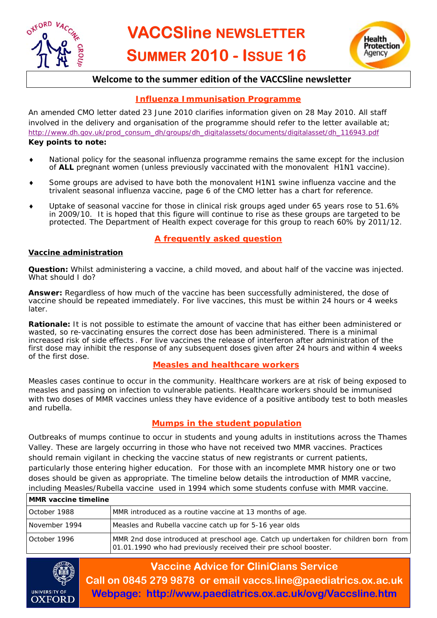



## **Welcome to the summer edition of the VACCSline newsletter**

### **Influenza Immunisation Programme**

An amended CMO letter dated 23 June 2010 clarifies information given on 28 May 2010. All staff involved in the delivery and organisation of the programme should refer to the letter available at; [http://www.dh.gov.uk/prod\\_consum\\_dh/groups/dh\\_digitalassets/documents/digitalasset/dh\\_116943.pdf](http://www.dh.gov.uk/prod_consum_dh/groups/dh_digitalassets/documents/dititalasset/dh_116943.pdf)

#### **Key points to note:**

- National policy for the seasonal influenza programme remains the same except for the inclusion of ALL pregnant women (unless previously vaccinated with the monovalent H1N1 vaccine).
- Some groups are advised to have both the monovalent H1N1 swine influenza vaccine and the trivalent seasonal influenza vaccine, page 6 of the CMO letter has a chart for reference.
- Uptake of seasonal vaccine for those in clinical risk groups aged under 65 years rose to 51.6% in 2009/10. It is hoped that this figure will continue to rise as these groups are targeted to be protected. The Department of Health expect coverage for this group to reach 60% by 2011/12.

#### **A frequently asked question**

#### **Vaccine administration**

**Question:** Whilst administering a vaccine, a child moved, and about half of the vaccine was injected. What should I do?

**Answer:** Regardless of how much of the vaccine has been successfully administered, the dose of vaccine should be repeated immediately. For live vaccines, this must be within 24 hours or 4 weeks later.

**Rationale:** It is not possible to estimate the amount of vaccine that has either been administered or wasted, so re-vaccinating ensures the correct dose has been administered. There is a minimal increased risk of side effects . For live vaccines the release of interferon after administration of the first dose may inhibit the response of any subsequent doses given after 24 hours and within 4 weeks of the first dose.

#### **Measles and healthcare workers**

Measles cases continue to occur in the community. Healthcare workers are at risk of being exposed to measles and passing on infection to vulnerable patients. Healthcare workers should be immunised with two doses of MMR vaccines unless they have evidence of a positive antibody test to both measles and rubella.

#### **Mumps in the student population**

Outbreaks of mumps continue to occur in students and young adults in institutions across the Thames Valley. These are largely occurring in those who have not received two MMR vaccines. Practices should remain vigilant in checking the vaccine status of new registrants or current patients, particularly those entering higher education. For those with an incomplete MMR history one or two doses should be given as appropriate. The timeline below details the introduction of MMR vaccine, including Measles/Rubella vaccine used in 1994 which some students confuse with MMR vaccine.

| <b>MMR</b> vaccine timeline |                                                                                                                                                          |  |  |
|-----------------------------|----------------------------------------------------------------------------------------------------------------------------------------------------------|--|--|
| October 1988                | MMR introduced as a routine vaccine at 13 months of age.                                                                                                 |  |  |
| November 1994               | Measles and Rubella vaccine catch up for 5-16 year olds                                                                                                  |  |  |
| October 1996                | MMR 2nd dose introduced at preschool age. Catch up undertaken for children born from<br>01.01.1990 who had previously received their pre school booster. |  |  |



**Vaccine Advice for CliniCians Service Call on 0845 279 9878 or email vaccs.line@paediatrics.ox.ac.uk Webpage: http://www.paediatrics.ox.ac.uk/ovg/Vaccsline.htm**